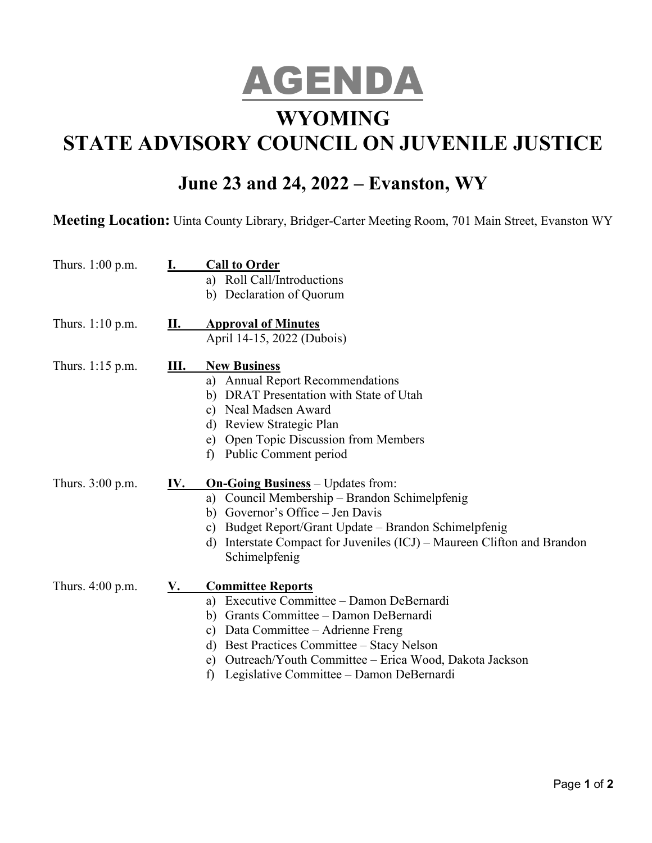

## **WYOMING**

# **STATE ADVISORY COUNCIL ON JUVENILE JUSTICE**

### **June 23 and 24, 2022 – Evanston, WY**

**Meeting Location:** Uinta County Library, Bridger-Carter Meeting Room, 701 Main Street, Evanston WY

| Thurs. 1:00 p.m.   | <b>I.</b> | <b>Call to Order</b><br>a) Roll Call/Introductions<br>b) Declaration of Quorum                                                                                                                                                                                                                                    |
|--------------------|-----------|-------------------------------------------------------------------------------------------------------------------------------------------------------------------------------------------------------------------------------------------------------------------------------------------------------------------|
| Thurs. $1:10$ p.m. | II.       | <b>Approval of Minutes</b><br>April 14-15, 2022 (Dubois)                                                                                                                                                                                                                                                          |
| Thurs. 1:15 p.m.   | Ш.        | <b>New Business</b><br>a) Annual Report Recommendations<br>b) DRAT Presentation with State of Utah<br>c) Neal Madsen Award<br>d) Review Strategic Plan<br>e) Open Topic Discussion from Members<br>Public Comment period<br>f)                                                                                    |
| Thurs. 3:00 p.m.   | IV.       | <b>On-Going Business</b> – Updates from:<br>a) Council Membership - Brandon Schimelpfenig<br>b) Governor's Office – Jen Davis<br>Budget Report/Grant Update - Brandon Schimelpfenig<br>c)<br>Interstate Compact for Juveniles (ICJ) – Maureen Clifton and Brandon<br>d)<br>Schimelpfenig                          |
| Thurs. 4:00 p.m.   | <u>V.</u> | <b>Committee Reports</b><br>a) Executive Committee - Damon DeBernardi<br>b) Grants Committee – Damon DeBernardi<br>c) Data Committee - Adrienne Freng<br>d) Best Practices Committee – Stacy Nelson<br>e) Outreach/Youth Committee – Erica Wood, Dakota Jackson<br>Legislative Committee – Damon DeBernardi<br>f) |